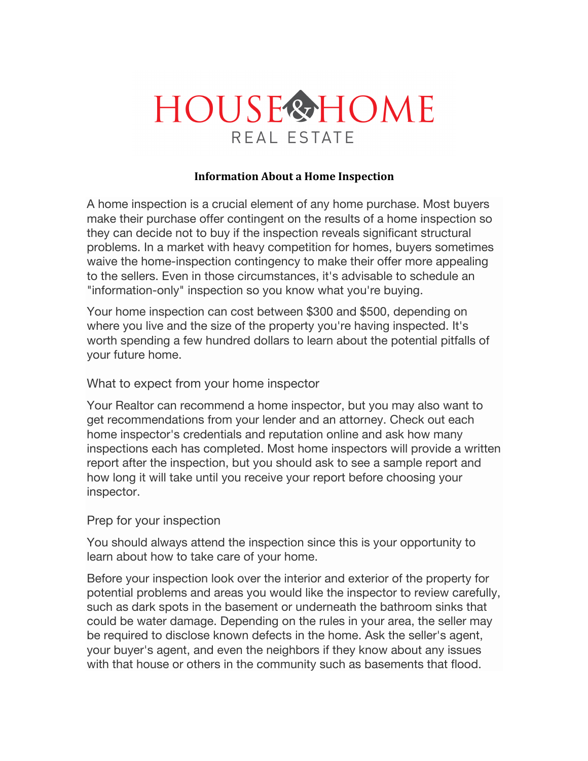

## **Information About a Home Inspection**

A home inspection is a crucial element of any home purchase. Most buyers make their purchase offer contingent on the results of a home inspection so they can decide not to buy if the inspection reveals significant structural problems. In a market with heavy competition for homes, buyers sometimes waive the home-inspection contingency to make their offer more appealing to the sellers. Even in those circumstances, it's advisable to schedule an "information-only" inspection so you know what you're buying.

Your home inspection can cost between \$300 and \$500, depending on where you live and the size of the property you're having inspected. It's worth spending a few hundred dollars to learn about the potential pitfalls of your future home.

What to expect from your home inspector

Your Realtor can recommend a home inspector, but you may also want to get recommendations from your lender and an attorney. Check out each home inspector's credentials and reputation online and ask how many inspections each has completed. Most home inspectors will provide a written report after the inspection, but you should ask to see a sample report and how long it will take until you receive your report before choosing your inspector.

## Prep for your inspection

You should always attend the inspection since this is your opportunity to learn about how to take care of your home.

Before your inspection look over the interior and exterior of the property for potential problems and areas you would like the inspector to review carefully, such as dark spots in the basement or underneath the bathroom sinks that could be water damage. Depending on the rules in your area, the seller may be required to disclose known defects in the home. Ask the seller's agent, your buyer's agent, and even the neighbors if they know about any issues with that house or others in the community such as basements that flood.